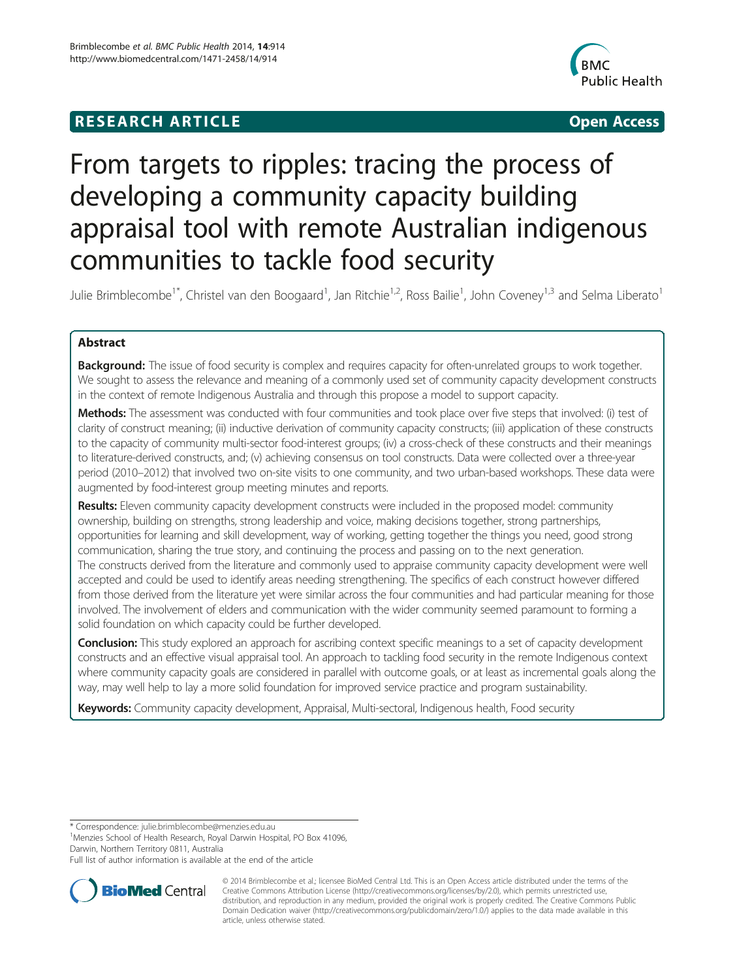## **RESEARCH ARTICLE CONSUMING A RESEARCH ARTICLE**



# From targets to ripples: tracing the process of developing a community capacity building appraisal tool with remote Australian indigenous communities to tackle food security

Julie Brimblecombe<sup>1\*</sup>, Christel van den Boogaard<sup>1</sup>, Jan Ritchie<sup>1,2</sup>, Ross Bailie<sup>1</sup>, John Coveney<sup>1,3</sup> and Selma Liberato<sup>1</sup>

## Abstract

**Background:** The issue of food security is complex and requires capacity for often-unrelated groups to work together. We sought to assess the relevance and meaning of a commonly used set of community capacity development constructs in the context of remote Indigenous Australia and through this propose a model to support capacity.

Methods: The assessment was conducted with four communities and took place over five steps that involved: (i) test of clarity of construct meaning; (ii) inductive derivation of community capacity constructs; (iii) application of these constructs to the capacity of community multi-sector food-interest groups; (iv) a cross-check of these constructs and their meanings to literature-derived constructs, and; (v) achieving consensus on tool constructs. Data were collected over a three-year period (2010–2012) that involved two on-site visits to one community, and two urban-based workshops. These data were augmented by food-interest group meeting minutes and reports.

Results: Eleven community capacity development constructs were included in the proposed model: community ownership, building on strengths, strong leadership and voice, making decisions together, strong partnerships, opportunities for learning and skill development, way of working, getting together the things you need, good strong communication, sharing the true story, and continuing the process and passing on to the next generation. The constructs derived from the literature and commonly used to appraise community capacity development were well accepted and could be used to identify areas needing strengthening. The specifics of each construct however differed from those derived from the literature yet were similar across the four communities and had particular meaning for those involved. The involvement of elders and communication with the wider community seemed paramount to forming a solid foundation on which capacity could be further developed.

**Conclusion:** This study explored an approach for ascribing context specific meanings to a set of capacity development constructs and an effective visual appraisal tool. An approach to tackling food security in the remote Indigenous context where community capacity goals are considered in parallel with outcome goals, or at least as incremental goals along the way, may well help to lay a more solid foundation for improved service practice and program sustainability.

Keywords: Community capacity development, Appraisal, Multi-sectoral, Indigenous health, Food security

\* Correspondence: [julie.brimblecombe@menzies.edu.au](mailto:julie.brimblecombe@menzies.edu.au) <sup>1</sup>

<sup>1</sup>Menzies School of Health Research, Royal Darwin Hospital, PO Box 41096, Darwin, Northern Territory 0811, Australia

Full list of author information is available at the end of the article



© 2014 Brimblecombe et al.; licensee BioMed Central Ltd. This is an Open Access article distributed under the terms of the Creative Commons Attribution License (<http://creativecommons.org/licenses/by/2.0>), which permits unrestricted use, distribution, and reproduction in any medium, provided the original work is properly credited. The Creative Commons Public Domain Dedication waiver [\(http://creativecommons.org/publicdomain/zero/1.0/\)](http://creativecommons.org/publicdomain/zero/1.0/) applies to the data made available in this article, unless otherwise stated.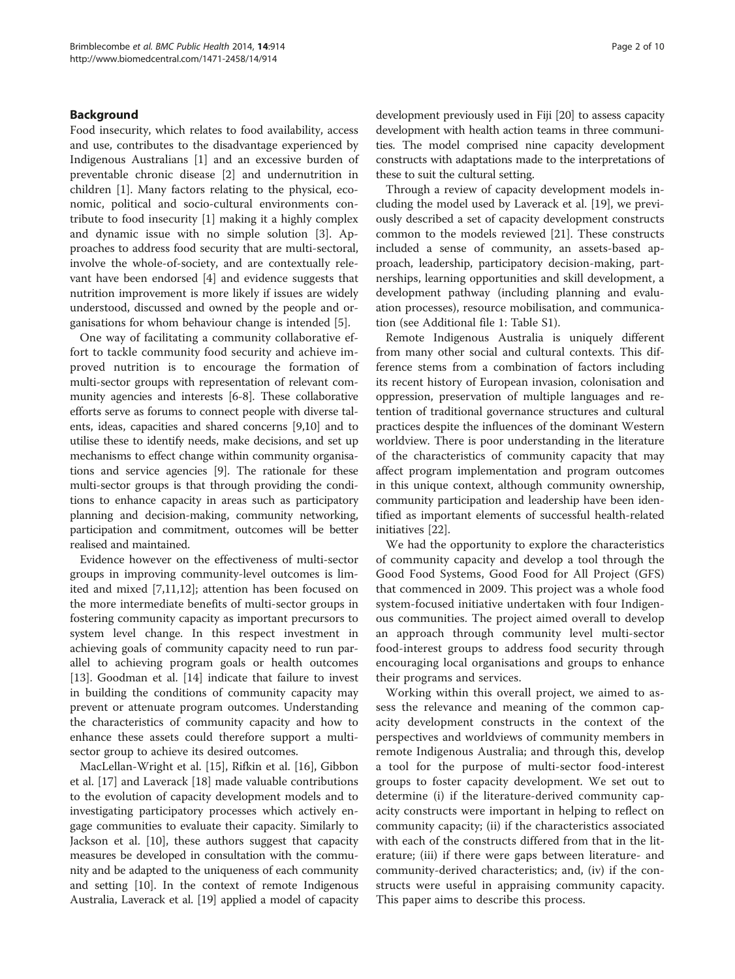## Background

Food insecurity, which relates to food availability, access and use, contributes to the disadvantage experienced by Indigenous Australians [\[1](#page-9-0)] and an excessive burden of preventable chronic disease [[2\]](#page-9-0) and undernutrition in children [\[1](#page-9-0)]. Many factors relating to the physical, economic, political and socio-cultural environments contribute to food insecurity [[1](#page-9-0)] making it a highly complex and dynamic issue with no simple solution [[3\]](#page-9-0). Approaches to address food security that are multi-sectoral, involve the whole-of-society, and are contextually relevant have been endorsed [\[4](#page-9-0)] and evidence suggests that nutrition improvement is more likely if issues are widely understood, discussed and owned by the people and organisations for whom behaviour change is intended [[5\]](#page-9-0).

One way of facilitating a community collaborative effort to tackle community food security and achieve improved nutrition is to encourage the formation of multi-sector groups with representation of relevant community agencies and interests [\[6](#page-9-0)-[8](#page-9-0)]. These collaborative efforts serve as forums to connect people with diverse talents, ideas, capacities and shared concerns [\[9,10\]](#page-9-0) and to utilise these to identify needs, make decisions, and set up mechanisms to effect change within community organisations and service agencies [\[9](#page-9-0)]. The rationale for these multi-sector groups is that through providing the conditions to enhance capacity in areas such as participatory planning and decision-making, community networking, participation and commitment, outcomes will be better realised and maintained.

Evidence however on the effectiveness of multi-sector groups in improving community-level outcomes is limited and mixed [\[7](#page-9-0),[11](#page-9-0),[12](#page-9-0)]; attention has been focused on the more intermediate benefits of multi-sector groups in fostering community capacity as important precursors to system level change. In this respect investment in achieving goals of community capacity need to run parallel to achieving program goals or health outcomes [[13\]](#page-9-0). Goodman et al. [[14](#page-9-0)] indicate that failure to invest in building the conditions of community capacity may prevent or attenuate program outcomes. Understanding the characteristics of community capacity and how to enhance these assets could therefore support a multisector group to achieve its desired outcomes.

MacLellan-Wright et al. [[15](#page-9-0)], Rifkin et al. [[16](#page-9-0)], Gibbon et al. [\[17](#page-9-0)] and Laverack [\[18](#page-9-0)] made valuable contributions to the evolution of capacity development models and to investigating participatory processes which actively engage communities to evaluate their capacity. Similarly to Jackson et al. [[10](#page-9-0)], these authors suggest that capacity measures be developed in consultation with the community and be adapted to the uniqueness of each community and setting [[10](#page-9-0)]. In the context of remote Indigenous Australia, Laverack et al. [\[19\]](#page-9-0) applied a model of capacity development previously used in Fiji [\[20\]](#page-9-0) to assess capacity development with health action teams in three communities. The model comprised nine capacity development constructs with adaptations made to the interpretations of these to suit the cultural setting.

Through a review of capacity development models including the model used by Laverack et al. [\[19\]](#page-9-0), we previously described a set of capacity development constructs common to the models reviewed [\[21](#page-9-0)]. These constructs included a sense of community, an assets-based approach, leadership, participatory decision-making, partnerships, learning opportunities and skill development, a development pathway (including planning and evaluation processes), resource mobilisation, and communication (see Additional file [1:](#page-9-0) Table S1).

Remote Indigenous Australia is uniquely different from many other social and cultural contexts. This difference stems from a combination of factors including its recent history of European invasion, colonisation and oppression, preservation of multiple languages and retention of traditional governance structures and cultural practices despite the influences of the dominant Western worldview. There is poor understanding in the literature of the characteristics of community capacity that may affect program implementation and program outcomes in this unique context, although community ownership, community participation and leadership have been identified as important elements of successful health-related initiatives [[22\]](#page-9-0).

We had the opportunity to explore the characteristics of community capacity and develop a tool through the Good Food Systems, Good Food for All Project (GFS) that commenced in 2009. This project was a whole food system-focused initiative undertaken with four Indigenous communities. The project aimed overall to develop an approach through community level multi-sector food-interest groups to address food security through encouraging local organisations and groups to enhance their programs and services.

Working within this overall project, we aimed to assess the relevance and meaning of the common capacity development constructs in the context of the perspectives and worldviews of community members in remote Indigenous Australia; and through this, develop a tool for the purpose of multi-sector food-interest groups to foster capacity development. We set out to determine (i) if the literature-derived community capacity constructs were important in helping to reflect on community capacity; (ii) if the characteristics associated with each of the constructs differed from that in the literature; (iii) if there were gaps between literature- and community-derived characteristics; and, (iv) if the constructs were useful in appraising community capacity. This paper aims to describe this process.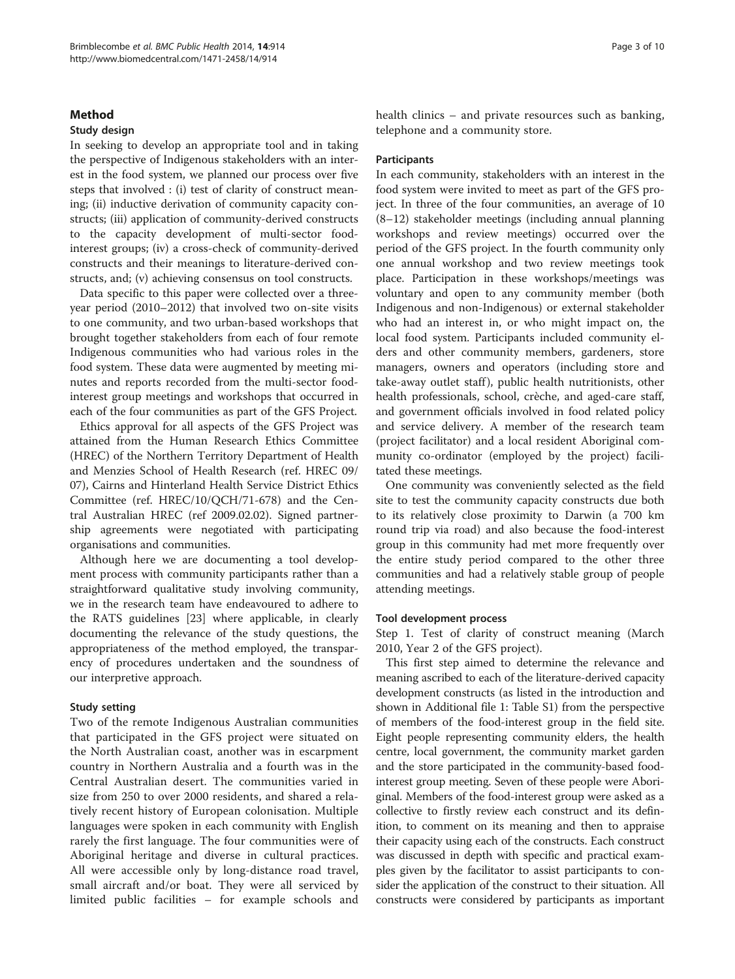#### Method

#### Study design

In seeking to develop an appropriate tool and in taking the perspective of Indigenous stakeholders with an interest in the food system, we planned our process over five steps that involved : (i) test of clarity of construct meaning; (ii) inductive derivation of community capacity constructs; (iii) application of community-derived constructs to the capacity development of multi-sector foodinterest groups; (iv) a cross-check of community-derived constructs and their meanings to literature-derived constructs, and; (v) achieving consensus on tool constructs.

Data specific to this paper were collected over a threeyear period (2010–2012) that involved two on-site visits to one community, and two urban-based workshops that brought together stakeholders from each of four remote Indigenous communities who had various roles in the food system. These data were augmented by meeting minutes and reports recorded from the multi-sector foodinterest group meetings and workshops that occurred in each of the four communities as part of the GFS Project.

Ethics approval for all aspects of the GFS Project was attained from the Human Research Ethics Committee (HREC) of the Northern Territory Department of Health and Menzies School of Health Research (ref. HREC 09/ 07), Cairns and Hinterland Health Service District Ethics Committee (ref. HREC/10/QCH/71-678) and the Central Australian HREC (ref 2009.02.02). Signed partnership agreements were negotiated with participating organisations and communities.

Although here we are documenting a tool development process with community participants rather than a straightforward qualitative study involving community, we in the research team have endeavoured to adhere to the RATS guidelines [\[23\]](#page-9-0) where applicable, in clearly documenting the relevance of the study questions, the appropriateness of the method employed, the transparency of procedures undertaken and the soundness of our interpretive approach.

#### Study setting

Two of the remote Indigenous Australian communities that participated in the GFS project were situated on the North Australian coast, another was in escarpment country in Northern Australia and a fourth was in the Central Australian desert. The communities varied in size from 250 to over 2000 residents, and shared a relatively recent history of European colonisation. Multiple languages were spoken in each community with English rarely the first language. The four communities were of Aboriginal heritage and diverse in cultural practices. All were accessible only by long-distance road travel, small aircraft and/or boat. They were all serviced by limited public facilities – for example schools and health clinics – and private resources such as banking, telephone and a community store.

#### Participants

In each community, stakeholders with an interest in the food system were invited to meet as part of the GFS project. In three of the four communities, an average of 10 (8–12) stakeholder meetings (including annual planning workshops and review meetings) occurred over the period of the GFS project. In the fourth community only one annual workshop and two review meetings took place. Participation in these workshops/meetings was voluntary and open to any community member (both Indigenous and non-Indigenous) or external stakeholder who had an interest in, or who might impact on, the local food system. Participants included community elders and other community members, gardeners, store managers, owners and operators (including store and take-away outlet staff ), public health nutritionists, other health professionals, school, crèche, and aged-care staff, and government officials involved in food related policy and service delivery. A member of the research team (project facilitator) and a local resident Aboriginal community co-ordinator (employed by the project) facilitated these meetings.

One community was conveniently selected as the field site to test the community capacity constructs due both to its relatively close proximity to Darwin (a 700 km round trip via road) and also because the food-interest group in this community had met more frequently over the entire study period compared to the other three communities and had a relatively stable group of people attending meetings.

#### Tool development process

Step 1. Test of clarity of construct meaning (March 2010, Year 2 of the GFS project).

This first step aimed to determine the relevance and meaning ascribed to each of the literature-derived capacity development constructs (as listed in the introduction and shown in Additional file [1:](#page-9-0) Table S1) from the perspective of members of the food-interest group in the field site. Eight people representing community elders, the health centre, local government, the community market garden and the store participated in the community-based foodinterest group meeting. Seven of these people were Aboriginal. Members of the food-interest group were asked as a collective to firstly review each construct and its definition, to comment on its meaning and then to appraise their capacity using each of the constructs. Each construct was discussed in depth with specific and practical examples given by the facilitator to assist participants to consider the application of the construct to their situation. All constructs were considered by participants as important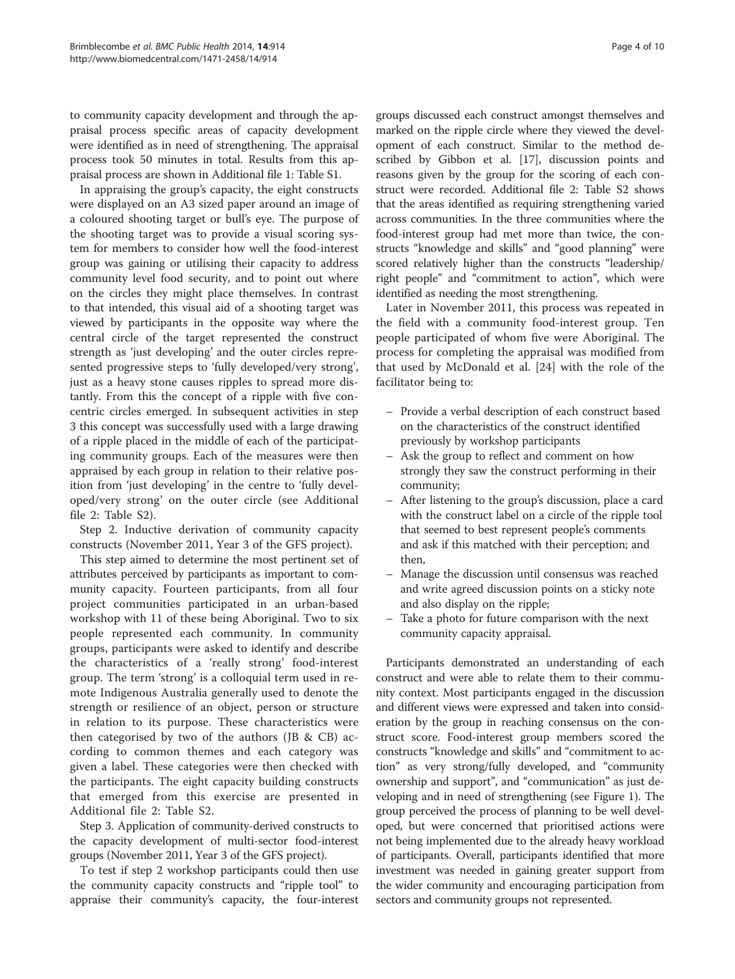to community capacity development and through the appraisal process specific areas of capacity development were identified as in need of strengthening. The appraisal process took 50 minutes in total. Results from this appraisal process are shown in Additional file [1](#page-9-0): Table S1.

In appraising the group's capacity, the eight constructs were displayed on an A3 sized paper around an image of a coloured shooting target or bull's eye. The purpose of the shooting target was to provide a visual scoring system for members to consider how well the food-interest group was gaining or utilising their capacity to address community level food security, and to point out where on the circles they might place themselves. In contrast to that intended, this visual aid of a shooting target was viewed by participants in the opposite way where the central circle of the target represented the construct strength as 'just developing' and the outer circles represented progressive steps to 'fully developed/very strong', just as a heavy stone causes ripples to spread more distantly. From this the concept of a ripple with five concentric circles emerged. In subsequent activities in step 3 this concept was successfully used with a large drawing of a ripple placed in the middle of each of the participating community groups. Each of the measures were then appraised by each group in relation to their relative position from 'just developing' in the centre to 'fully developed/very strong' on the outer circle (see Additional file [2](#page-9-0): Table S2).

Step 2. Inductive derivation of community capacity constructs (November 2011, Year 3 of the GFS project).

This step aimed to determine the most pertinent set of attributes perceived by participants as important to community capacity. Fourteen participants, from all four project communities participated in an urban-based workshop with 11 of these being Aboriginal. Two to six people represented each community. In community groups, participants were asked to identify and describe the characteristics of a 'really strong' food-interest group. The term 'strong' is a colloquial term used in remote Indigenous Australia generally used to denote the strength or resilience of an object, person or structure in relation to its purpose. These characteristics were then categorised by two of the authors (JB & CB) according to common themes and each category was given a label. These categories were then checked with the participants. The eight capacity building constructs that emerged from this exercise are presented in Additional file [2:](#page-9-0) Table S2.

Step 3. Application of community-derived constructs to the capacity development of multi-sector food-interest groups (November 2011, Year 3 of the GFS project).

To test if step 2 workshop participants could then use the community capacity constructs and "ripple tool" to appraise their community's capacity, the four-interest

groups discussed each construct amongst themselves and marked on the ripple circle where they viewed the development of each construct. Similar to the method described by Gibbon et al. [[17\]](#page-9-0), discussion points and reasons given by the group for the scoring of each construct were recorded. Additional file [2:](#page-9-0) Table S2 shows that the areas identified as requiring strengthening varied across communities. In the three communities where the food-interest group had met more than twice, the constructs "knowledge and skills" and "good planning" were

identified as needing the most strengthening. Later in November 2011, this process was repeated in the field with a community food-interest group. Ten people participated of whom five were Aboriginal. The process for completing the appraisal was modified from that used by McDonald et al. [\[24](#page-9-0)] with the role of the facilitator being to:

scored relatively higher than the constructs "leadership/ right people" and "commitment to action", which were

- Provide a verbal description of each construct based on the characteristics of the construct identified previously by workshop participants
- Ask the group to reflect and comment on how strongly they saw the construct performing in their community;
- After listening to the group's discussion, place a card with the construct label on a circle of the ripple tool that seemed to best represent people's comments and ask if this matched with their perception; and then,
- Manage the discussion until consensus was reached and write agreed discussion points on a sticky note and also display on the ripple;
- Take a photo for future comparison with the next community capacity appraisal.

Participants demonstrated an understanding of each construct and were able to relate them to their community context. Most participants engaged in the discussion and different views were expressed and taken into consideration by the group in reaching consensus on the construct score. Food-interest group members scored the constructs "knowledge and skills" and "commitment to action" as very strong/fully developed, and "community ownership and support", and "communication" as just developing and in need of strengthening (see Figure [1](#page-4-0)). The group perceived the process of planning to be well developed, but were concerned that prioritised actions were not being implemented due to the already heavy workload of participants. Overall, participants identified that more investment was needed in gaining greater support from the wider community and encouraging participation from sectors and community groups not represented.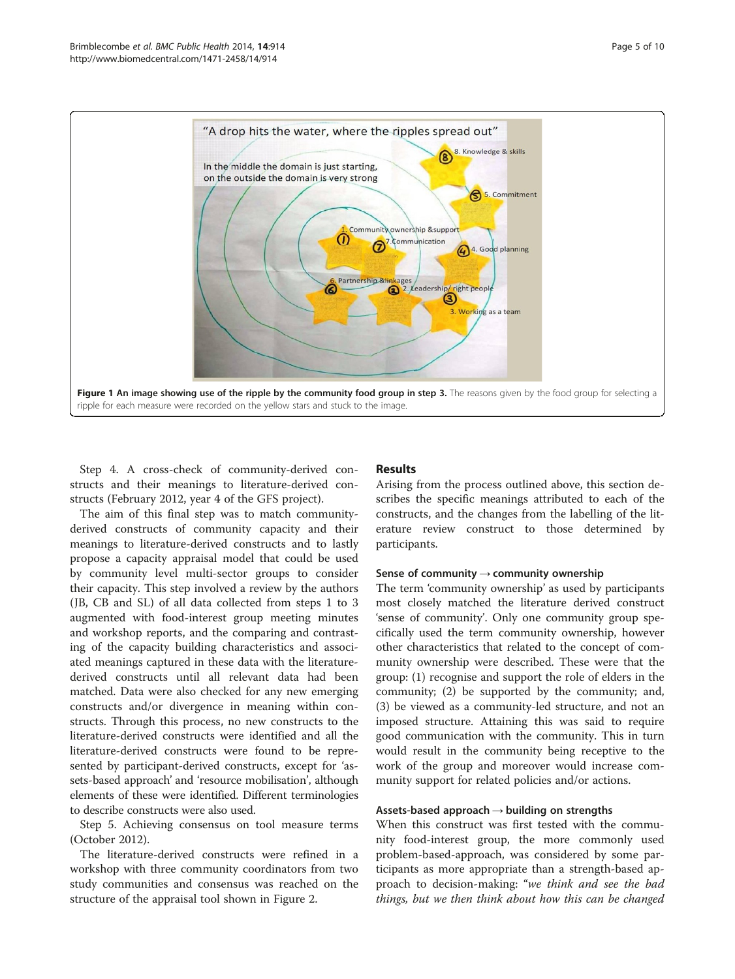<span id="page-4-0"></span>

Step 4. A cross-check of community-derived constructs and their meanings to literature-derived constructs (February 2012, year 4 of the GFS project).

The aim of this final step was to match communityderived constructs of community capacity and their meanings to literature-derived constructs and to lastly propose a capacity appraisal model that could be used by community level multi-sector groups to consider their capacity. This step involved a review by the authors (JB, CB and SL) of all data collected from steps 1 to 3 augmented with food-interest group meeting minutes and workshop reports, and the comparing and contrasting of the capacity building characteristics and associated meanings captured in these data with the literaturederived constructs until all relevant data had been matched. Data were also checked for any new emerging constructs and/or divergence in meaning within constructs. Through this process, no new constructs to the literature-derived constructs were identified and all the literature-derived constructs were found to be represented by participant-derived constructs, except for 'assets-based approach' and 'resource mobilisation', although elements of these were identified. Different terminologies to describe constructs were also used.

Step 5. Achieving consensus on tool measure terms (October 2012).

The literature-derived constructs were refined in a workshop with three community coordinators from two study communities and consensus was reached on the structure of the appraisal tool shown in Figure [2](#page-5-0).

## Results

Arising from the process outlined above, this section describes the specific meanings attributed to each of the constructs, and the changes from the labelling of the literature review construct to those determined by participants.

## Sense of community  $\rightarrow$  community ownership

The term 'community ownership' as used by participants most closely matched the literature derived construct 'sense of community'. Only one community group specifically used the term community ownership, however other characteristics that related to the concept of community ownership were described. These were that the group: (1) recognise and support the role of elders in the community; (2) be supported by the community; and, (3) be viewed as a community-led structure, and not an imposed structure. Attaining this was said to require good communication with the community. This in turn would result in the community being receptive to the work of the group and moreover would increase community support for related policies and/or actions.

#### Assets-based approach  $\rightarrow$  building on strengths

When this construct was first tested with the community food-interest group, the more commonly used problem-based-approach, was considered by some participants as more appropriate than a strength-based approach to decision-making: "we think and see the bad things, but we then think about how this can be changed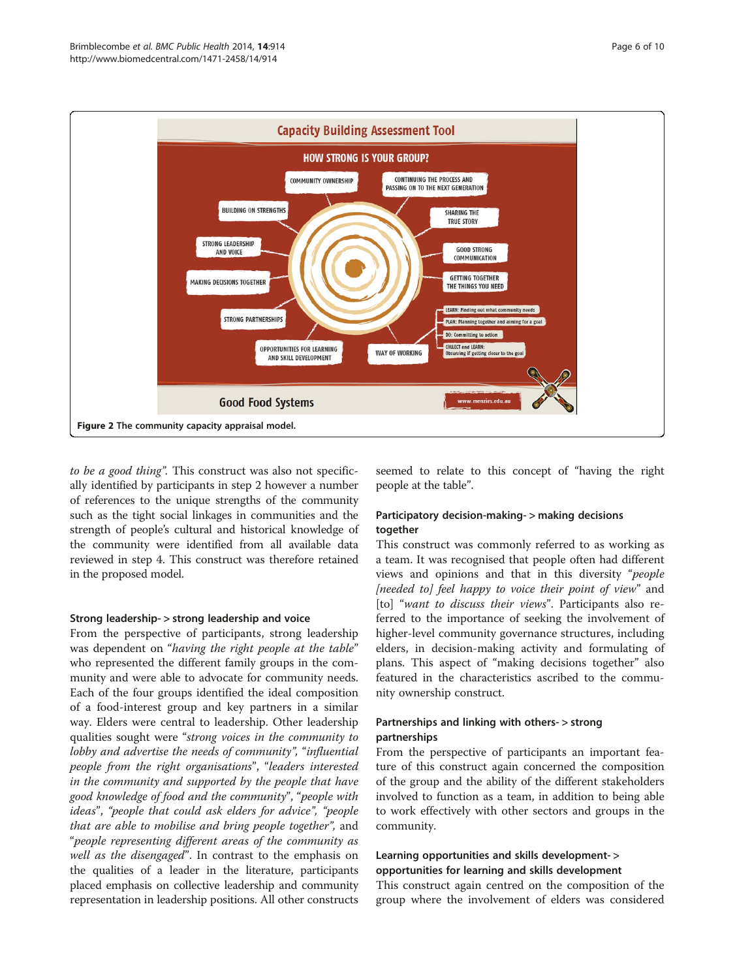<span id="page-5-0"></span>

to be a good thing". This construct was also not specifically identified by participants in step 2 however a number of references to the unique strengths of the community such as the tight social linkages in communities and the strength of people's cultural and historical knowledge of the community were identified from all available data reviewed in step 4. This construct was therefore retained in the proposed model.

#### Strong leadership- > strong leadership and voice

From the perspective of participants, strong leadership was dependent on "having the right people at the table" who represented the different family groups in the community and were able to advocate for community needs. Each of the four groups identified the ideal composition of a food-interest group and key partners in a similar way. Elders were central to leadership. Other leadership qualities sought were "strong voices in the community to lobby and advertise the needs of community", "influential people from the right organisations", "leaders interested in the community and supported by the people that have good knowledge of food and the community", "people with ideas", "people that could ask elders for advice", "people that are able to mobilise and bring people together", and "people representing different areas of the community as well as the disengaged". In contrast to the emphasis on the qualities of a leader in the literature, participants placed emphasis on collective leadership and community representation in leadership positions. All other constructs seemed to relate to this concept of "having the right people at the table".

## Participatory decision-making- > making decisions together

This construct was commonly referred to as working as a team. It was recognised that people often had different views and opinions and that in this diversity "people [needed to] feel happy to voice their point of view" and [to] "want to discuss their views". Participants also referred to the importance of seeking the involvement of higher-level community governance structures, including elders, in decision-making activity and formulating of plans. This aspect of "making decisions together" also featured in the characteristics ascribed to the community ownership construct.

## Partnerships and linking with others- > strong partnerships

From the perspective of participants an important feature of this construct again concerned the composition of the group and the ability of the different stakeholders involved to function as a team, in addition to being able to work effectively with other sectors and groups in the community.

## Learning opportunities and skills development- > opportunities for learning and skills development

This construct again centred on the composition of the group where the involvement of elders was considered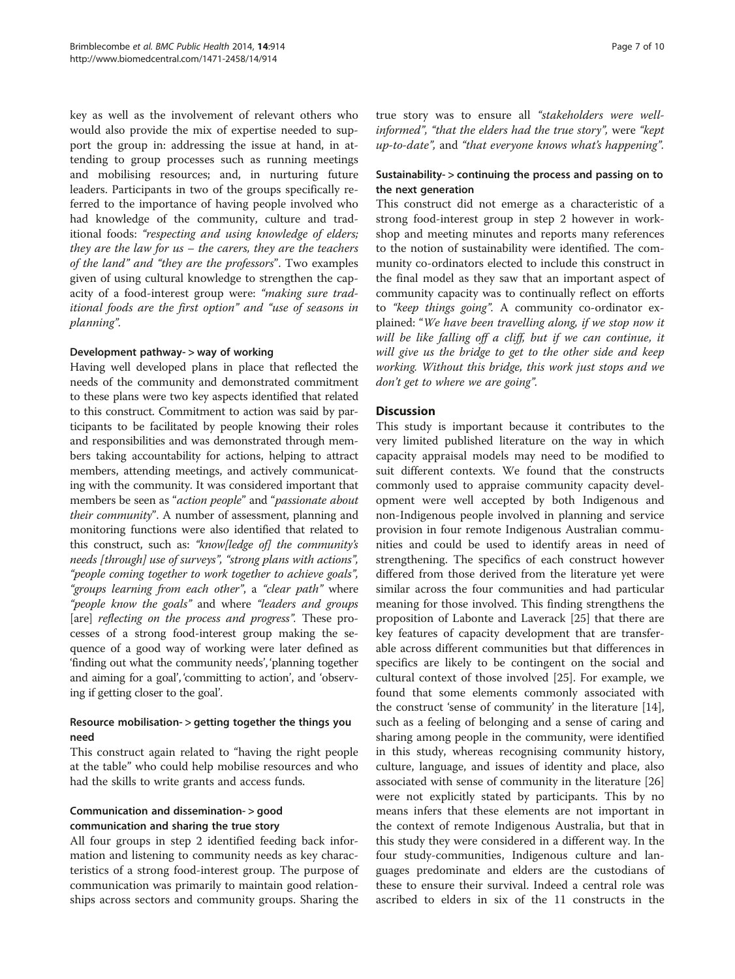key as well as the involvement of relevant others who would also provide the mix of expertise needed to support the group in: addressing the issue at hand, in attending to group processes such as running meetings and mobilising resources; and, in nurturing future leaders. Participants in two of the groups specifically referred to the importance of having people involved who had knowledge of the community, culture and traditional foods: "respecting and using knowledge of elders; they are the law for us – the carers, they are the teachers of the land" and "they are the professors". Two examples given of using cultural knowledge to strengthen the capacity of a food-interest group were: "making sure traditional foods are the first option" and "use of seasons in planning".

## Development pathway- > way of working

Having well developed plans in place that reflected the needs of the community and demonstrated commitment to these plans were two key aspects identified that related to this construct. Commitment to action was said by participants to be facilitated by people knowing their roles and responsibilities and was demonstrated through members taking accountability for actions, helping to attract members, attending meetings, and actively communicating with the community. It was considered important that members be seen as "action people" and "passionate about their community". A number of assessment, planning and monitoring functions were also identified that related to this construct, such as: "know[ledge of] the community's needs [through] use of surveys", "strong plans with actions", "people coming together to work together to achieve goals", "groups learning from each other", a "clear path" where "people know the goals" and where "leaders and groups [are] reflecting on the process and progress". These processes of a strong food-interest group making the sequence of a good way of working were later defined as 'finding out what the community needs', 'planning together and aiming for a goal', 'committing to action', and 'observing if getting closer to the goal'.

## Resource mobilisation- > getting together the things you need

This construct again related to "having the right people at the table" who could help mobilise resources and who had the skills to write grants and access funds.

## Communication and dissemination- > good communication and sharing the true story

All four groups in step 2 identified feeding back information and listening to community needs as key characteristics of a strong food-interest group. The purpose of communication was primarily to maintain good relationships across sectors and community groups. Sharing the true story was to ensure all "stakeholders were wellinformed", "that the elders had the true story", were "kept up-to-date", and "that everyone knows what's happening".

## Sustainability- > continuing the process and passing on to the next generation

This construct did not emerge as a characteristic of a strong food-interest group in step 2 however in workshop and meeting minutes and reports many references to the notion of sustainability were identified. The community co-ordinators elected to include this construct in the final model as they saw that an important aspect of community capacity was to continually reflect on efforts to "keep things going". A community co-ordinator explained: "We have been travelling along, if we stop now it will be like falling off a cliff, but if we can continue, it will give us the bridge to get to the other side and keep working. Without this bridge, this work just stops and we don't get to where we are going".

## **Discussion**

This study is important because it contributes to the very limited published literature on the way in which capacity appraisal models may need to be modified to suit different contexts. We found that the constructs commonly used to appraise community capacity development were well accepted by both Indigenous and non-Indigenous people involved in planning and service provision in four remote Indigenous Australian communities and could be used to identify areas in need of strengthening. The specifics of each construct however differed from those derived from the literature yet were similar across the four communities and had particular meaning for those involved. This finding strengthens the proposition of Labonte and Laverack [\[25](#page-9-0)] that there are key features of capacity development that are transferable across different communities but that differences in specifics are likely to be contingent on the social and cultural context of those involved [[25](#page-9-0)]. For example, we found that some elements commonly associated with the construct 'sense of community' in the literature [\[14](#page-9-0)], such as a feeling of belonging and a sense of caring and sharing among people in the community, were identified in this study, whereas recognising community history, culture, language, and issues of identity and place, also associated with sense of community in the literature [[26](#page-9-0)] were not explicitly stated by participants. This by no means infers that these elements are not important in the context of remote Indigenous Australia, but that in this study they were considered in a different way. In the four study-communities, Indigenous culture and languages predominate and elders are the custodians of these to ensure their survival. Indeed a central role was ascribed to elders in six of the 11 constructs in the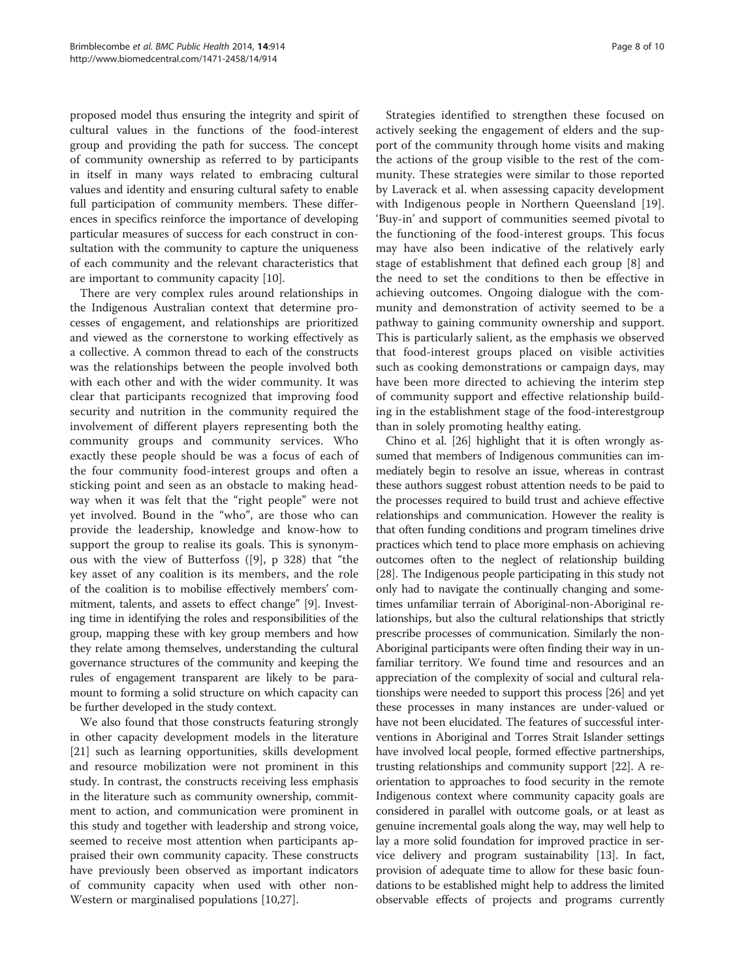proposed model thus ensuring the integrity and spirit of cultural values in the functions of the food-interest group and providing the path for success. The concept of community ownership as referred to by participants in itself in many ways related to embracing cultural values and identity and ensuring cultural safety to enable full participation of community members. These differences in specifics reinforce the importance of developing particular measures of success for each construct in consultation with the community to capture the uniqueness of each community and the relevant characteristics that are important to community capacity [[10\]](#page-9-0).

There are very complex rules around relationships in the Indigenous Australian context that determine processes of engagement, and relationships are prioritized and viewed as the cornerstone to working effectively as a collective. A common thread to each of the constructs was the relationships between the people involved both with each other and with the wider community. It was clear that participants recognized that improving food security and nutrition in the community required the involvement of different players representing both the community groups and community services. Who exactly these people should be was a focus of each of the four community food-interest groups and often a sticking point and seen as an obstacle to making headway when it was felt that the "right people" were not yet involved. Bound in the "who", are those who can provide the leadership, knowledge and know-how to support the group to realise its goals. This is synonymous with the view of Butterfoss ([\[9](#page-9-0)], p 328) that "the key asset of any coalition is its members, and the role of the coalition is to mobilise effectively members' commitment, talents, and assets to effect change" [[9](#page-9-0)]. Investing time in identifying the roles and responsibilities of the group, mapping these with key group members and how they relate among themselves, understanding the cultural governance structures of the community and keeping the rules of engagement transparent are likely to be paramount to forming a solid structure on which capacity can be further developed in the study context.

We also found that those constructs featuring strongly in other capacity development models in the literature [[21\]](#page-9-0) such as learning opportunities, skills development and resource mobilization were not prominent in this study. In contrast, the constructs receiving less emphasis in the literature such as community ownership, commitment to action, and communication were prominent in this study and together with leadership and strong voice, seemed to receive most attention when participants appraised their own community capacity. These constructs have previously been observed as important indicators of community capacity when used with other non-Western or marginalised populations [[10,27\]](#page-9-0).

Strategies identified to strengthen these focused on actively seeking the engagement of elders and the support of the community through home visits and making the actions of the group visible to the rest of the community. These strategies were similar to those reported by Laverack et al. when assessing capacity development with Indigenous people in Northern Queensland [\[19](#page-9-0)]. 'Buy-in' and support of communities seemed pivotal to the functioning of the food-interest groups. This focus may have also been indicative of the relatively early stage of establishment that defined each group [\[8](#page-9-0)] and the need to set the conditions to then be effective in achieving outcomes. Ongoing dialogue with the community and demonstration of activity seemed to be a pathway to gaining community ownership and support. This is particularly salient, as the emphasis we observed that food-interest groups placed on visible activities such as cooking demonstrations or campaign days, may have been more directed to achieving the interim step of community support and effective relationship building in the establishment stage of the food-interestgroup than in solely promoting healthy eating.

Chino et al. [\[26\]](#page-9-0) highlight that it is often wrongly assumed that members of Indigenous communities can immediately begin to resolve an issue, whereas in contrast these authors suggest robust attention needs to be paid to the processes required to build trust and achieve effective relationships and communication. However the reality is that often funding conditions and program timelines drive practices which tend to place more emphasis on achieving outcomes often to the neglect of relationship building [[28](#page-9-0)]. The Indigenous people participating in this study not only had to navigate the continually changing and sometimes unfamiliar terrain of Aboriginal-non-Aboriginal relationships, but also the cultural relationships that strictly prescribe processes of communication. Similarly the non-Aboriginal participants were often finding their way in unfamiliar territory. We found time and resources and an appreciation of the complexity of social and cultural relationships were needed to support this process [[26](#page-9-0)] and yet these processes in many instances are under-valued or have not been elucidated. The features of successful interventions in Aboriginal and Torres Strait Islander settings have involved local people, formed effective partnerships, trusting relationships and community support [[22](#page-9-0)]. A reorientation to approaches to food security in the remote Indigenous context where community capacity goals are considered in parallel with outcome goals, or at least as genuine incremental goals along the way, may well help to lay a more solid foundation for improved practice in service delivery and program sustainability [\[13\]](#page-9-0). In fact, provision of adequate time to allow for these basic foundations to be established might help to address the limited observable effects of projects and programs currently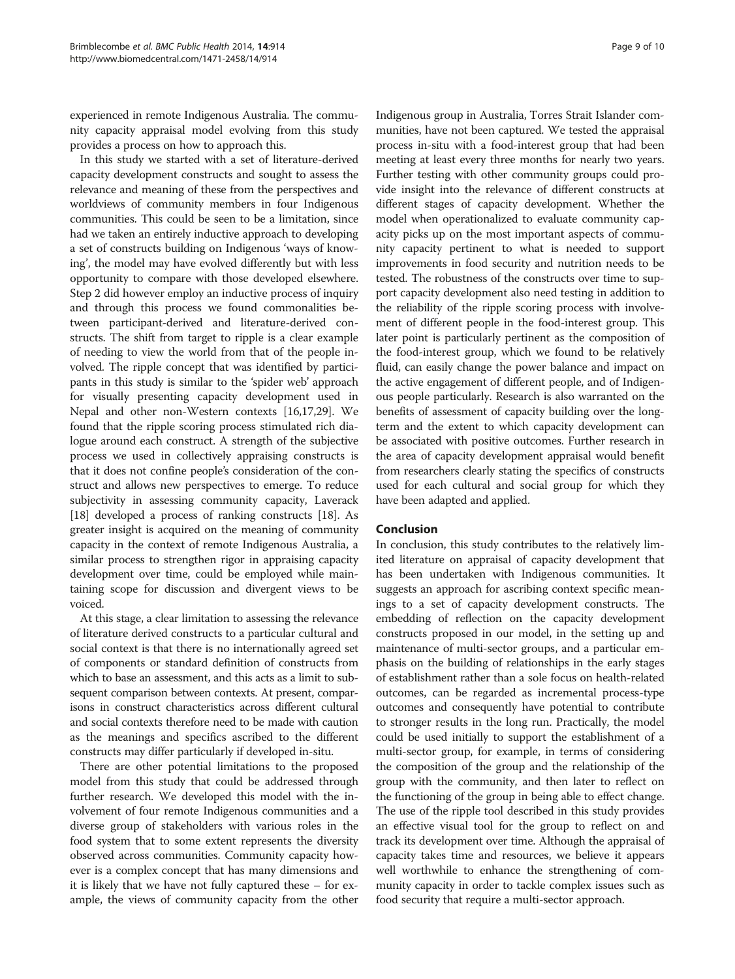experienced in remote Indigenous Australia. The community capacity appraisal model evolving from this study provides a process on how to approach this.

In this study we started with a set of literature-derived capacity development constructs and sought to assess the relevance and meaning of these from the perspectives and worldviews of community members in four Indigenous communities. This could be seen to be a limitation, since had we taken an entirely inductive approach to developing a set of constructs building on Indigenous 'ways of knowing', the model may have evolved differently but with less opportunity to compare with those developed elsewhere. Step 2 did however employ an inductive process of inquiry and through this process we found commonalities between participant-derived and literature-derived constructs. The shift from target to ripple is a clear example of needing to view the world from that of the people involved. The ripple concept that was identified by participants in this study is similar to the 'spider web' approach for visually presenting capacity development used in Nepal and other non-Western contexts [[16](#page-9-0),[17,29\]](#page-9-0). We found that the ripple scoring process stimulated rich dialogue around each construct. A strength of the subjective process we used in collectively appraising constructs is that it does not confine people's consideration of the construct and allows new perspectives to emerge. To reduce subjectivity in assessing community capacity, Laverack [[18](#page-9-0)] developed a process of ranking constructs [18]. As greater insight is acquired on the meaning of community capacity in the context of remote Indigenous Australia, a similar process to strengthen rigor in appraising capacity development over time, could be employed while maintaining scope for discussion and divergent views to be voiced.

At this stage, a clear limitation to assessing the relevance of literature derived constructs to a particular cultural and social context is that there is no internationally agreed set of components or standard definition of constructs from which to base an assessment, and this acts as a limit to subsequent comparison between contexts. At present, comparisons in construct characteristics across different cultural and social contexts therefore need to be made with caution as the meanings and specifics ascribed to the different constructs may differ particularly if developed in-situ.

There are other potential limitations to the proposed model from this study that could be addressed through further research. We developed this model with the involvement of four remote Indigenous communities and a diverse group of stakeholders with various roles in the food system that to some extent represents the diversity observed across communities. Community capacity however is a complex concept that has many dimensions and it is likely that we have not fully captured these – for example, the views of community capacity from the other

Indigenous group in Australia, Torres Strait Islander communities, have not been captured. We tested the appraisal process in-situ with a food-interest group that had been meeting at least every three months for nearly two years. Further testing with other community groups could provide insight into the relevance of different constructs at different stages of capacity development. Whether the model when operationalized to evaluate community capacity picks up on the most important aspects of community capacity pertinent to what is needed to support improvements in food security and nutrition needs to be tested. The robustness of the constructs over time to support capacity development also need testing in addition to the reliability of the ripple scoring process with involvement of different people in the food-interest group. This later point is particularly pertinent as the composition of the food-interest group, which we found to be relatively fluid, can easily change the power balance and impact on the active engagement of different people, and of Indigenous people particularly. Research is also warranted on the benefits of assessment of capacity building over the longterm and the extent to which capacity development can be associated with positive outcomes. Further research in the area of capacity development appraisal would benefit from researchers clearly stating the specifics of constructs used for each cultural and social group for which they have been adapted and applied.

## Conclusion

In conclusion, this study contributes to the relatively limited literature on appraisal of capacity development that has been undertaken with Indigenous communities. It suggests an approach for ascribing context specific meanings to a set of capacity development constructs. The embedding of reflection on the capacity development constructs proposed in our model, in the setting up and maintenance of multi-sector groups, and a particular emphasis on the building of relationships in the early stages of establishment rather than a sole focus on health-related outcomes, can be regarded as incremental process-type outcomes and consequently have potential to contribute to stronger results in the long run. Practically, the model could be used initially to support the establishment of a multi-sector group, for example, in terms of considering the composition of the group and the relationship of the group with the community, and then later to reflect on the functioning of the group in being able to effect change. The use of the ripple tool described in this study provides an effective visual tool for the group to reflect on and track its development over time. Although the appraisal of capacity takes time and resources, we believe it appears well worthwhile to enhance the strengthening of community capacity in order to tackle complex issues such as food security that require a multi-sector approach.